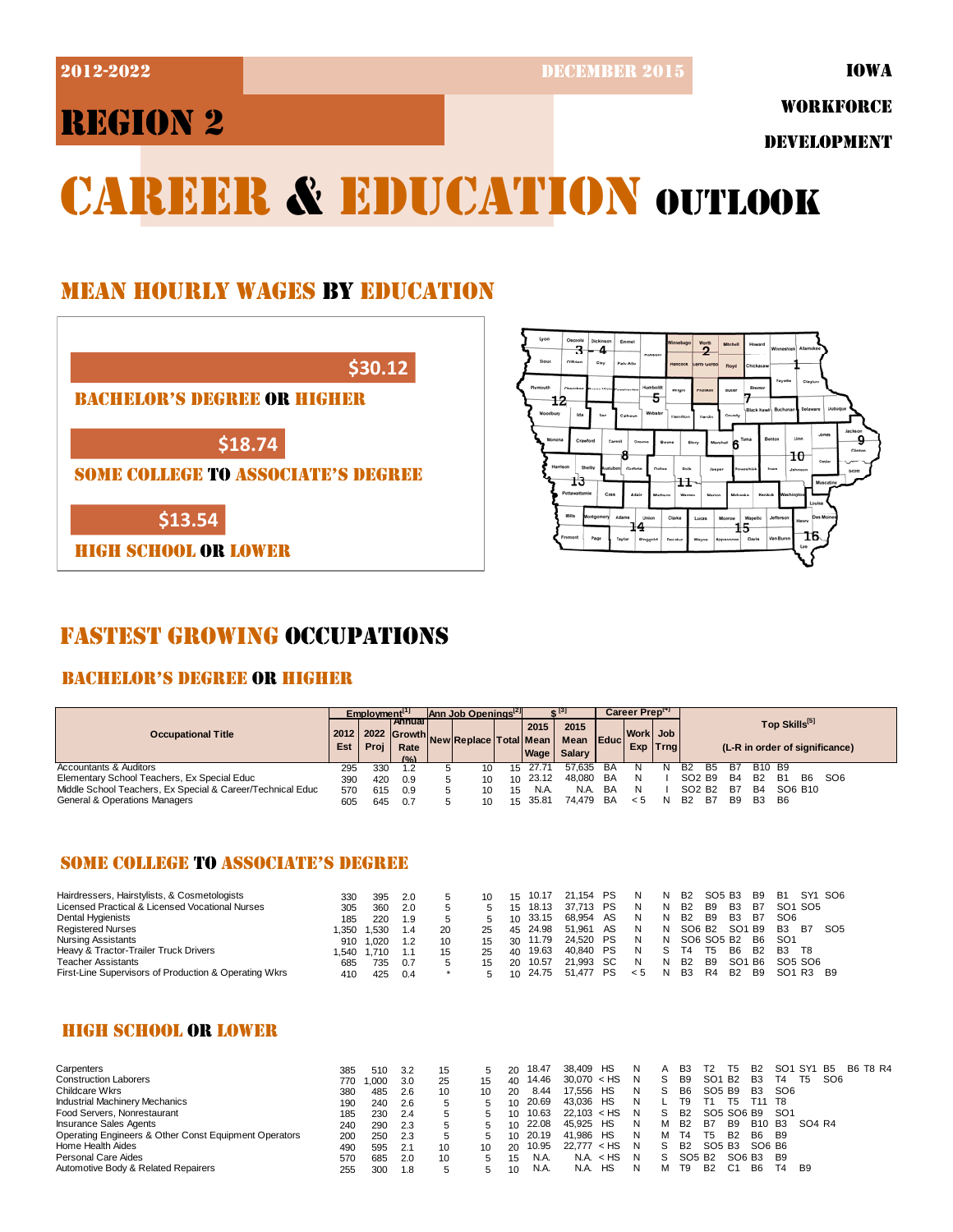**2012-2022** DECEMBER 2015

# REGION 2

WORKFORCE

DEVELOPMENT

# CAREER & EDUCATION OUTLOOK

## MEAN HOURLY WAGES BY EDUCATION





## FASTEST GROWING OCCUPATIONS

## BACHELOR'S DEGREE OR HIGHER

|                                                            | Employment <sup>[1]</sup> |      |                                                             | $\mathsf{Ann}$ Job Openings <sup>12</sup> |                              |    |              |                                    |    | Career Preptri       |    |                                                             |            |                                     |                 |  |  |
|------------------------------------------------------------|---------------------------|------|-------------------------------------------------------------|-------------------------------------------|------------------------------|----|--------------|------------------------------------|----|----------------------|----|-------------------------------------------------------------|------------|-------------------------------------|-----------------|--|--|
| <b>Occupational Title</b>                                  |                           | Proi | l Annual I<br>2012   2022   Growth<br>Rate<br>$(0/\lambda)$ |                                           | 'INewIReplace   Total   Mean |    | 2015<br>Wage | 2015<br>Mean Educ<br><b>Salary</b> |    | Work Job<br>Exp Trng |    | Top Skills <sup>[5]</sup><br>(L-R in order of significance) |            |                                     |                 |  |  |
| Accountants & Auditors                                     | 295                       | 330  | 1.2                                                         |                                           | 10                           |    | 15 27.71     | 57.635                             | BA |                      |    | <b>B2</b><br>в5                                             |            | B <sub>10</sub> B <sub>9</sub>      |                 |  |  |
| Elementary School Teachers, Ex Special Educ                | 390                       | 420  | 0.9                                                         |                                           | 10                           |    | 10 23.12     | 48.080                             | BA | N                    |    | SO <sub>2</sub> B <sub>9</sub>                              | B4         | <b>B2</b><br><b>B6</b><br><b>B1</b> | SO <sub>6</sub> |  |  |
| Middle School Teachers, Ex Special & Career/Technical Educ | 570                       | 615  | 0.9                                                         |                                           | 10                           | 15 | N.A.         | N.A.                               | BA | N                    |    | SO <sub>2</sub> B <sub>2</sub>                              | B7         | <b>B4</b><br>SO6 B <sub>10</sub>    |                 |  |  |
| General & Operations Managers                              | 605                       | 645  | 0.7                                                         |                                           | 10                           |    | 15 35.81     | 74 479                             | BA | < 5                  | N. | <b>B2</b><br>B7                                             | <b>B</b> 9 | B <sub>3</sub><br>B6                |                 |  |  |

#### SOME COLLEGE TO ASSOCIATE'S DEGREE

| Hairdressers, Hairstylists, & Cosmetologists          | 330  | 395  | 2.0 |    |    | 15 | 10.17    | 21.154 PS |    | N. | N. | <b>B2</b>      | SO5 B3     |                 | <b>B</b> 9 | <b>B1</b>       |      | SY1 SO6         |
|-------------------------------------------------------|------|------|-----|----|----|----|----------|-----------|----|----|----|----------------|------------|-----------------|------------|-----------------|------|-----------------|
| Licensed Practical & Licensed Vocational Nurses       | 305  | 360  | 2.0 |    |    | 15 | 18.13    | 37.713 PS |    |    | N  | <b>B2</b>      | <b>B</b> 9 | B3              | B7         | SO1 SO5         |      |                 |
| Dental Hygienists                                     | 185  | 220  | 19  |    |    |    | 10 33.15 | 68.954    | AS | N  | N  | <b>B2</b>      | B9         | B3              | B7         | SO <sub>6</sub> |      |                 |
| <b>Registered Nurses</b>                              | .350 | .530 | 1.4 | 20 | 25 |    | 45 24.98 | 51.961 AS |    | N. | N  | SO6 B2 SO1 B9  |            |                 |            | <b>B3</b>       | - B7 | SO <sub>5</sub> |
| Nursing Assistants                                    | 910  | .020 |     | 10 |    |    | 30 11.79 | 24.520 PS |    | N. | N. | SO6 SO5 B2     |            |                 | B6         | -SO1            |      |                 |
| Heavy & Tractor-Trailer Truck Drivers                 | .540 | .710 |     |    | 25 | 40 | 19.63    | 40.840 PS |    | N  |    | T4             | T5         | B6              | <b>B2</b>  | <b>B3</b>       | T8   |                 |
| <b>Teacher Assistants</b>                             | 685  | 735  | 0.7 |    |    | 20 | 10.57    | 21.993 SC |    | N. | N  | <b>B2</b>      | B9         | SO <sub>1</sub> | B6         | SO5 SO6         |      |                 |
| First-Line Supervisors of Production & Operating Wkrs | 410  | 425  | 0.4 |    |    | 10 | 24.75    | 51.477 PS |    | 5< | N  | B <sub>3</sub> | R4         | <b>B2</b>       | <b>B</b> 9 | SO1 R3 B9       |      |                 |

## HIGH SCHOOL OR LOWER

| Carpenters                                            | 385 | 510             | 3.2 |    |    | 20        | 18.47 | НS<br>38.409     |    |    | B3                             | Τ2              | 15             | <b>B2</b>      | SO1 SY1         |        | - B5            | B6 T8 R4 |
|-------------------------------------------------------|-----|-----------------|-----|----|----|-----------|-------|------------------|----|----|--------------------------------|-----------------|----------------|----------------|-----------------|--------|-----------------|----------|
| <b>Construction Laborers</b>                          | 770 | .000            | 3.0 | 25 | 15 | 40        | 14.46 | $30.070 <$ HS    | -N |    | B <sub>9</sub>                 | SO <sup>1</sup> | <b>B2</b>      | B <sub>3</sub> | Τ4              | T5     | SO <sub>6</sub> |          |
| Childcare Wkrs                                        | 380 | 485             | 2.6 | 10 | 10 | 20        | 8.44  | HS<br>17.556     | N  |    | B <sub>6</sub>                 | SO5 B9          |                | B <sub>3</sub> | SO <sub>6</sub> |        |                 |          |
| <b>Industrial Machinery Mechanics</b>                 | 190 | 240             | 2.6 |    |    | 10        | 20.69 | HS<br>43.036     |    |    | Т9                             |                 | 15             | T11 T8         |                 |        |                 |          |
| Food Servers, Nonrestaurant                           | 185 | 230             | 2.4 |    |    | $10^{-}$  | 10.63 | 22.103 < HS      | N  | S. | B <sub>2</sub>                 |                 | SO5 SO6 B9     |                | -SO1            |        |                 |          |
| <b>Insurance Sales Agents</b>                         | 240 | 290             | 2.3 |    |    | $10^{-1}$ | 22.08 | 45.925<br>HS     | N  | м  | B <sub>2</sub>                 | B7              | B <sub>9</sub> | B10 B3         |                 | SO4 R4 |                 |          |
| Operating Engineers & Other Const Equipment Operators | 200 | 250             | 2.3 |    |    | $10^{-1}$ | 20.19 | HS<br>41.986     | N  | м  | T4                             | T5              | <b>B2</b>      | B6             | - B9            |        |                 |          |
| Home Health Aides                                     | 490 | 595             | 2.1 | 10 | 10 | 20        | 10.95 | $<$ HS<br>22,777 | N  |    | <b>B2</b>                      | SO5 B3          |                | SO6 B6         |                 |        |                 |          |
| Personal Care Aides                                   | 570 | 685             | 2.0 | 10 |    | 15        | N.A.  | NA. < HS         | N  | S. | SO <sub>5</sub> B <sub>2</sub> |                 |                | SO6 B3         | - B9            |        |                 |          |
| Automotive Body & Related Repairers                   | 255 | 30 <sub>C</sub> | 1.8 |    |    | 10        | N.A.  | HS<br>N.A.       |    | м  | T9                             | <b>B2</b>       | C1             | B <sub>6</sub> | T4              | B9     |                 |          |